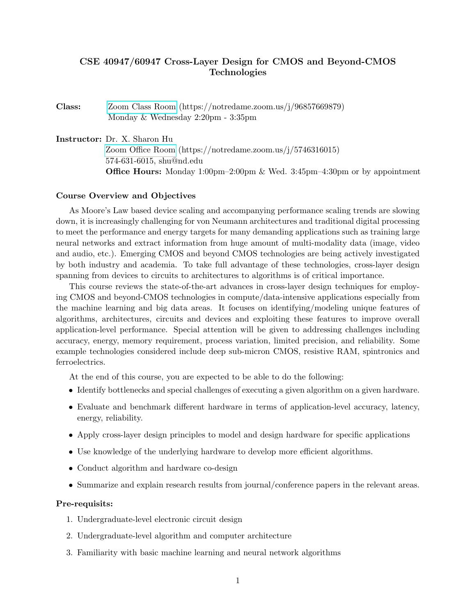# CSE 40947/60947 Cross-Layer Design for CMOS and Beyond-CMOS Technologies

Class: [Zoom Class Room](https://notredame.zoom.us/j/96857669879) (https://notredame.zoom.us/j/96857669879) Monday & Wednesday 2:20pm - 3:35pm

Instructor: Dr. X. Sharon Hu [Zoom Office Room](https://notredame.zoom.us/j/5746316015) (https://notredame.zoom.us/j/5746316015) 574-631-6015, shu@nd.edu **Office Hours:** Monday 1:00pm–2:00pm & Wed. 3:45pm–4:30pm or by appointment

#### Course Overview and Objectives

As Moore's Law based device scaling and accompanying performance scaling trends are slowing down, it is increasingly challenging for von Neumann architectures and traditional digital processing to meet the performance and energy targets for many demanding applications such as training large neural networks and extract information from huge amount of multi-modality data (image, video and audio, etc.). Emerging CMOS and beyond CMOS technologies are being actively investigated by both industry and academia. To take full advantage of these technologies, cross-layer design spanning from devices to circuits to architectures to algorithms is of critical importance.

This course reviews the state-of-the-art advances in cross-layer design techniques for employing CMOS and beyond-CMOS technologies in compute/data-intensive applications especially from the machine learning and big data areas. It focuses on identifying/modeling unique features of algorithms, architectures, circuits and devices and exploiting these features to improve overall application-level performance. Special attention will be given to addressing challenges including accuracy, energy, memory requirement, process variation, limited precision, and reliability. Some example technologies considered include deep sub-micron CMOS, resistive RAM, spintronics and ferroelectrics.

At the end of this course, you are expected to be able to do the following:

- Identify bottlenecks and special challenges of executing a given algorithm on a given hardware.
- Evaluate and benchmark different hardware in terms of application-level accuracy, latency, energy, reliability.
- Apply cross-layer design principles to model and design hardware for specific applications
- Use knowledge of the underlying hardware to develop more efficient algorithms.
- Conduct algorithm and hardware co-design
- Summarize and explain research results from journal/conference papers in the relevant areas.

#### Pre-requisits:

- 1. Undergraduate-level electronic circuit design
- 2. Undergraduate-level algorithm and computer architecture
- 3. Familiarity with basic machine learning and neural network algorithms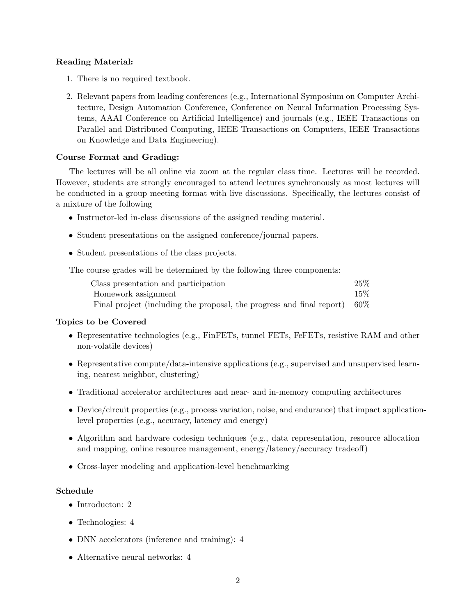## Reading Material:

- 1. There is no required textbook.
- 2. Relevant papers from leading conferences (e.g., International Symposium on Computer Architecture, Design Automation Conference, Conference on Neural Information Processing Systems, AAAI Conference on Artificial Intelligence) and journals (e.g., IEEE Transactions on Parallel and Distributed Computing, IEEE Transactions on Computers, IEEE Transactions on Knowledge and Data Engineering).

### Course Format and Grading:

The lectures will be all online via zoom at the regular class time. Lectures will be recorded. However, students are strongly encouraged to attend lectures synchronously as most lectures will be conducted in a group meeting format with live discussions. Specifically, the lectures consist of a mixture of the following

- Instructor-led in-class discussions of the assigned reading material.
- Student presentations on the assigned conference/journal papers.
- Student presentations of the class projects.

The course grades will be determined by the following three components:

| Class presentation and participation                                         | 25%    |
|------------------------------------------------------------------------------|--------|
| Homework assignment                                                          | $15\%$ |
| Final project (including the proposal, the progress and final report) $60\%$ |        |

### Topics to be Covered

- Representative technologies (e.g., FinFETs, tunnel FETs, FeFETs, resistive RAM and other non-volatile devices)
- Representative compute/data-intensive applications (e.g., supervised and unsupervised learning, nearest neighbor, clustering)
- Traditional accelerator architectures and near- and in-memory computing architectures
- Device/circuit properties (e.g., process variation, noise, and endurance) that impact applicationlevel properties (e.g., accuracy, latency and energy)
- Algorithm and hardware codesign techniques (e.g., data representation, resource allocation and mapping, online resource management, energy/latency/accuracy tradeoff)
- Cross-layer modeling and application-level benchmarking

### Schedule

- Introducton: 2
- Technologies: 4
- DNN accelerators (inference and training): 4
- Alternative neural networks: 4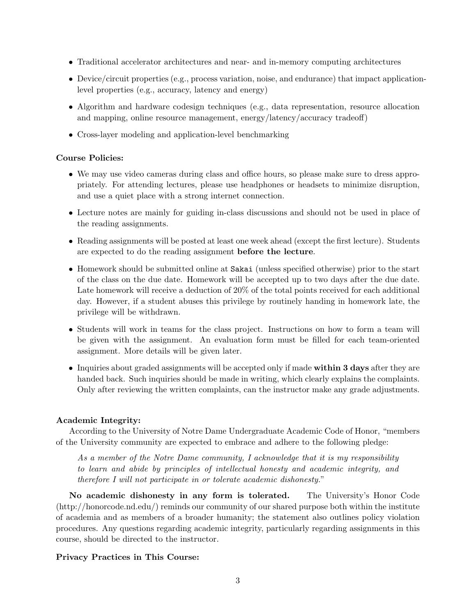- Traditional accelerator architectures and near- and in-memory computing architectures
- Device/circuit properties (e.g., process variation, noise, and endurance) that impact applicationlevel properties (e.g., accuracy, latency and energy)
- Algorithm and hardware codesign techniques (e.g., data representation, resource allocation and mapping, online resource management, energy/latency/accuracy tradeoff)
- Cross-layer modeling and application-level benchmarking

### Course Policies:

- We may use video cameras during class and office hours, so please make sure to dress appropriately. For attending lectures, please use headphones or headsets to minimize disruption, and use a quiet place with a strong internet connection.
- Lecture notes are mainly for guiding in-class discussions and should not be used in place of the reading assignments.
- Reading assignments will be posted at least one week ahead (except the first lecture). Students are expected to do the reading assignment before the lecture.
- Homework should be submitted online at Sakai (unless specified otherwise) prior to the start of the class on the due date. Homework will be accepted up to two days after the due date. Late homework will receive a deduction of 20% of the total points received for each additional day. However, if a student abuses this privilege by routinely handing in homework late, the privilege will be withdrawn.
- Students will work in teams for the class project. Instructions on how to form a team will be given with the assignment. An evaluation form must be filled for each team-oriented assignment. More details will be given later.
- Inquiries about graded assignments will be accepted only if made within 3 days after they are handed back. Such inquiries should be made in writing, which clearly explains the complaints. Only after reviewing the written complaints, can the instructor make any grade adjustments.

### Academic Integrity:

According to the University of Notre Dame Undergraduate Academic Code of Honor, "members of the University community are expected to embrace and adhere to the following pledge:

As a member of the Notre Dame community, I acknowledge that it is my responsibility to learn and abide by principles of intellectual honesty and academic integrity, and therefore I will not participate in or tolerate academic dishonesty."

No academic dishonesty in any form is tolerated. The University's Honor Code (http://honorcode.nd.edu/) reminds our community of our shared purpose both within the institute of academia and as members of a broader humanity; the statement also outlines policy violation procedures. Any questions regarding academic integrity, particularly regarding assignments in this course, should be directed to the instructor.

### Privacy Practices in This Course: